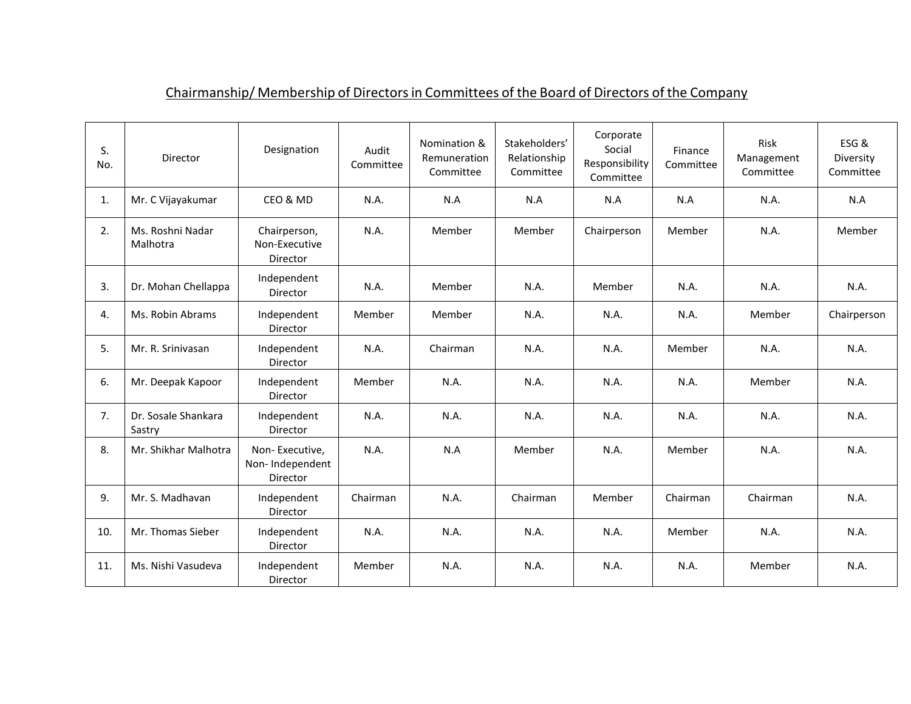| S.<br>No. | Director                      | Designation                                          | Audit<br>Committee | Nomination &<br>Remuneration<br>Committee | Stakeholders'<br>Relationship<br>Committee | Corporate<br>Social<br>Responsibility<br>Committee | Finance<br>Committee | Risk<br>Management<br>Committee | ESG&<br>Diversity<br>Committee |
|-----------|-------------------------------|------------------------------------------------------|--------------------|-------------------------------------------|--------------------------------------------|----------------------------------------------------|----------------------|---------------------------------|--------------------------------|
| 1.        | Mr. C Vijayakumar             | CEO & MD                                             | N.A.               | N.A                                       | N.A                                        | N.A                                                | N.A                  | N.A.                            | N.A                            |
| 2.        | Ms. Roshni Nadar<br>Malhotra  | Chairperson,<br>Non-Executive<br>Director            | N.A.               | Member                                    | Member                                     | Chairperson                                        | Member               | N.A.                            | Member                         |
| 3.        | Dr. Mohan Chellappa           | Independent<br>Director                              | N.A.               | Member                                    | N.A.                                       | Member                                             | N.A.                 | N.A.                            | N.A.                           |
| 4.        | Ms. Robin Abrams              | Independent<br>Director                              | Member             | Member                                    | N.A.                                       | N.A.                                               | N.A.                 | Member                          | Chairperson                    |
| 5.        | Mr. R. Srinivasan             | Independent<br><b>Director</b>                       | N.A.               | Chairman                                  | N.A.                                       | N.A.                                               | Member               | N.A.                            | N.A.                           |
| 6.        | Mr. Deepak Kapoor             | Independent<br>Director                              | Member             | N.A.                                      | N.A.                                       | N.A.                                               | N.A.                 | Member                          | N.A.                           |
| 7.        | Dr. Sosale Shankara<br>Sastry | Independent<br>Director                              | N.A.               | N.A.                                      | N.A.                                       | N.A.                                               | N.A.                 | N.A.                            | N.A.                           |
| 8.        | Mr. Shikhar Malhotra          | Non-Executive,<br>Non-Independent<br><b>Director</b> | N.A.               | N.A                                       | Member                                     | N.A.                                               | Member               | N.A.                            | N.A.                           |
| 9.        | Mr. S. Madhavan               | Independent<br>Director                              | Chairman           | N.A.                                      | Chairman                                   | Member                                             | Chairman             | Chairman                        | N.A.                           |
| 10.       | Mr. Thomas Sieber             | Independent<br>Director                              | N.A.               | N.A.                                      | N.A.                                       | N.A.                                               | Member               | N.A.                            | N.A.                           |
| 11.       | Ms. Nishi Vasudeva            | Independent<br>Director                              | Member             | N.A.                                      | N.A.                                       | N.A.                                               | N.A.                 | Member                          | N.A.                           |

## Chairmanship/ Membership of Directors in Committees of the Board of Directors of the Company